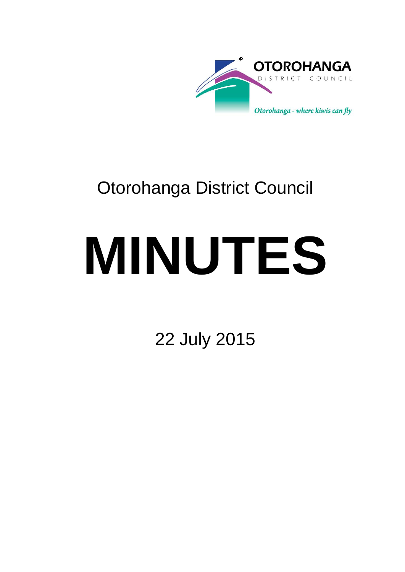

# Otorohanga District Council

# **MINUTES**

22 July 2015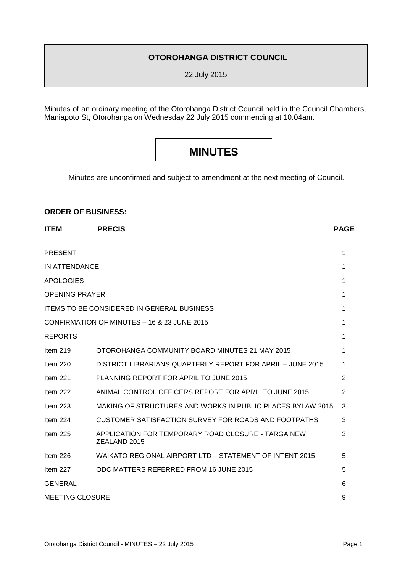# **OTOROHANGA DISTRICT COUNCIL**

22 July 2015

Minutes of an ordinary meeting of the Otorohanga District Council held in the Council Chambers, Maniapoto St, Otorohanga on Wednesday 22 July 2015 commencing at 10.04am.

# **MINUTES**

Minutes are unconfirmed and subject to amendment at the next meeting of Council.

#### **ORDER OF BUSINESS:**

| <b>ITEM</b>                                 | <b>PRECIS</b>                                                      | <b>PAGE</b> |
|---------------------------------------------|--------------------------------------------------------------------|-------------|
| <b>PRESENT</b>                              |                                                                    | 1           |
| IN ATTENDANCE                               |                                                                    | 1           |
| <b>APOLOGIES</b>                            |                                                                    | 1           |
| <b>OPENING PRAYER</b>                       |                                                                    | 1           |
|                                             | <b>ITEMS TO BE CONSIDERED IN GENERAL BUSINESS</b>                  | 1           |
| CONFIRMATION OF MINUTES - 16 & 23 JUNE 2015 |                                                                    | 1           |
| <b>REPORTS</b>                              |                                                                    | 1           |
| Item 219                                    | OTOROHANGA COMMUNITY BOARD MINUTES 21 MAY 2015                     | 1           |
| Item $220$                                  | DISTRICT LIBRARIANS QUARTERLY REPORT FOR APRIL - JUNE 2015         | 1           |
| Item $221$                                  | PLANNING REPORT FOR APRIL TO JUNE 2015                             | 2           |
| Item 222                                    | ANIMAL CONTROL OFFICERS REPORT FOR APRIL TO JUNE 2015              | 2           |
| Item $223$                                  | MAKING OF STRUCTURES AND WORKS IN PUBLIC PLACES BYLAW 2015         | 3           |
| Item 224                                    | CUSTOMER SATISFACTION SURVEY FOR ROADS AND FOOTPATHS               | 3           |
| Item $225$                                  | APPLICATION FOR TEMPORARY ROAD CLOSURE - TARGA NEW<br>ZEALAND 2015 | 3           |
| Item 226                                    | WAIKATO REGIONAL AIRPORT LTD - STATEMENT OF INTENT 2015            | 5           |
| Item 227                                    | ODC MATTERS REFERRED FROM 16 JUNE 2015                             | 5           |
| <b>GENERAL</b>                              |                                                                    | 6           |
| <b>MEETING CLOSURE</b>                      |                                                                    | 9           |
|                                             |                                                                    |             |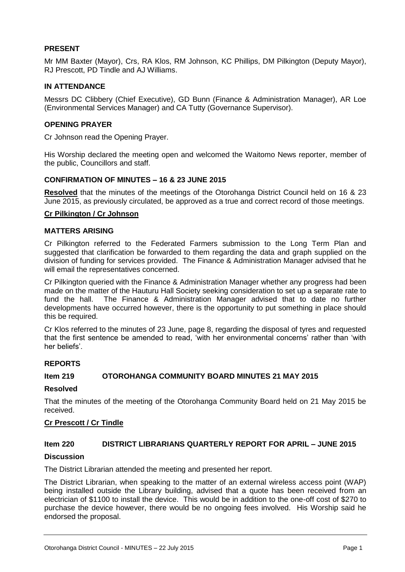#### **PRESENT**

Mr MM Baxter (Mayor), Crs, RA Klos, RM Johnson, KC Phillips, DM Pilkington (Deputy Mayor), RJ Prescott, PD Tindle and AJ Williams.

#### **IN ATTENDANCE**

Messrs DC Clibbery (Chief Executive), GD Bunn (Finance & Administration Manager), AR Loe (Environmental Services Manager) and CA Tutty (Governance Supervisor).

#### **OPENING PRAYER**

Cr Johnson read the Opening Prayer.

His Worship declared the meeting open and welcomed the Waitomo News reporter, member of the public, Councillors and staff.

#### **CONFIRMATION OF MINUTES – 16 & 23 JUNE 2015**

**Resolved** that the minutes of the meetings of the Otorohanga District Council held on 16 & 23 June 2015, as previously circulated, be approved as a true and correct record of those meetings.

#### **Cr Pilkington / Cr Johnson**

#### **MATTERS ARISING**

Cr Pilkington referred to the Federated Farmers submission to the Long Term Plan and suggested that clarification be forwarded to them regarding the data and graph supplied on the division of funding for services provided. The Finance & Administration Manager advised that he will email the representatives concerned.

Cr Pilkington queried with the Finance & Administration Manager whether any progress had been made on the matter of the Hauturu Hall Society seeking consideration to set up a separate rate to fund the hall. The Finance & Administration Manager advised that to date no further developments have occurred however, there is the opportunity to put something in place should this be required.

Cr Klos referred to the minutes of 23 June, page 8, regarding the disposal of tyres and requested that the first sentence be amended to read, 'with her environmental concerns' rather than 'with her beliefs'.

#### **REPORTS**

#### **Item 219 OTOROHANGA COMMUNITY BOARD MINUTES 21 MAY 2015**

#### **Resolved**

That the minutes of the meeting of the Otorohanga Community Board held on 21 May 2015 be received.

#### **Cr Prescott / Cr Tindle**

#### **Item 220 DISTRICT LIBRARIANS QUARTERLY REPORT FOR APRIL – JUNE 2015**

#### **Discussion**

The District Librarian attended the meeting and presented her report.

The District Librarian, when speaking to the matter of an external wireless access point (WAP) being installed outside the Library building, advised that a quote has been received from an electrician of \$1100 to install the device. This would be in addition to the one-off cost of \$270 to purchase the device however, there would be no ongoing fees involved. His Worship said he endorsed the proposal.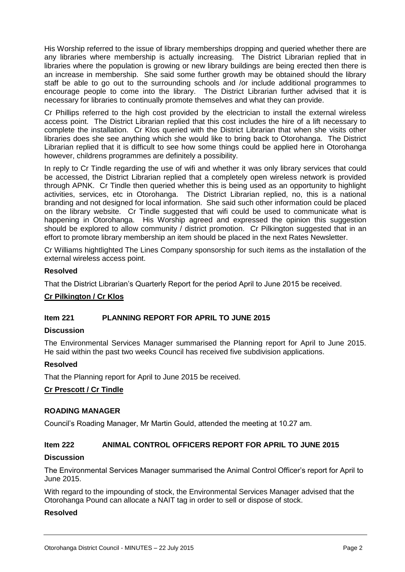His Worship referred to the issue of library memberships dropping and queried whether there are any libraries where membership is actually increasing. The District Librarian replied that in libraries where the population is growing or new library buildings are being erected then there is an increase in membership. She said some further growth may be obtained should the library staff be able to go out to the surrounding schools and /or include additional programmes to encourage people to come into the library. The District Librarian further advised that it is necessary for libraries to continually promote themselves and what they can provide.

Cr Phillips referred to the high cost provided by the electrician to install the external wireless access point. The District Librarian replied that this cost includes the hire of a lift necessary to complete the installation. Cr Klos queried with the District Librarian that when she visits other libraries does she see anything which she would like to bring back to Otorohanga. The District Librarian replied that it is difficult to see how some things could be applied here in Otorohanga however, childrens programmes are definitely a possibility.

In reply to Cr Tindle regarding the use of wifi and whether it was only library services that could be accessed, the District Librarian replied that a completely open wireless network is provided through APNK. Cr Tindle then queried whether this is being used as an opportunity to highlight activities, services, etc in Otorohanga. The District Librarian replied, no, this is a national branding and not designed for local information. She said such other information could be placed on the library website. Cr Tindle suggested that wifi could be used to communicate what is happening in Otorohanga. His Worship agreed and expressed the opinion this suggestion should be explored to allow community / district promotion. Cr Pilkington suggested that in an effort to promote library membership an item should be placed in the next Rates Newsletter.

Cr Williams hightlighted The Lines Company sponsorship for such items as the installation of the external wireless access point.

#### **Resolved**

That the District Librarian's Quarterly Report for the period April to June 2015 be received.

#### **Cr Pilkington / Cr Klos**

#### **Item 221 PLANNING REPORT FOR APRIL TO JUNE 2015**

#### **Discussion**

The Environmental Services Manager summarised the Planning report for April to June 2015. He said within the past two weeks Council has received five subdivision applications.

#### **Resolved**

That the Planning report for April to June 2015 be received.

#### **Cr Prescott / Cr Tindle**

#### **ROADING MANAGER**

Council's Roading Manager, Mr Martin Gould, attended the meeting at 10.27 am.

## **Item 222 ANIMAL CONTROL OFFICERS REPORT FOR APRIL TO JUNE 2015**

#### **Discussion**

The Environmental Services Manager summarised the Animal Control Officer's report for April to June 2015.

With regard to the impounding of stock, the Environmental Services Manager advised that the Otorohanga Pound can allocate a NAIT tag in order to sell or dispose of stock.

## **Resolved**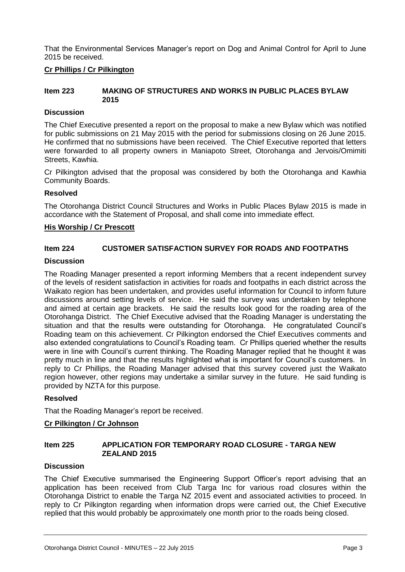That the Environmental Services Manager's report on Dog and Animal Control for April to June 2015 be received.

#### **Cr Phillips / Cr Pilkington**

#### **Item 223 MAKING OF STRUCTURES AND WORKS IN PUBLIC PLACES BYLAW 2015**

#### **Discussion**

The Chief Executive presented a report on the proposal to make a new Bylaw which was notified for public submissions on 21 May 2015 with the period for submissions closing on 26 June 2015. He confirmed that no submissions have been received. The Chief Executive reported that letters were forwarded to all property owners in Maniapoto Street, Otorohanga and Jervois/Omimiti Streets, Kawhia.

Cr Pilkington advised that the proposal was considered by both the Otorohanga and Kawhia Community Boards.

#### **Resolved**

The Otorohanga District Council Structures and Works in Public Places Bylaw 2015 is made in accordance with the Statement of Proposal, and shall come into immediate effect.

#### **His Worship / Cr Prescott**

#### **Item 224 CUSTOMER SATISFACTION SURVEY FOR ROADS AND FOOTPATHS**

#### **Discussion**

The Roading Manager presented a report informing Members that a recent independent survey of the levels of resident satisfaction in activities for roads and footpaths in each district across the Waikato region has been undertaken, and provides useful information for Council to inform future discussions around setting levels of service. He said the survey was undertaken by telephone and aimed at certain age brackets. He said the results look good for the roading area of the Otorohanga District. The Chief Executive advised that the Roading Manager is understating the situation and that the results were outstanding for Otorohanga. He congratulated Council's Roading team on this achievement. Cr Pilkington endorsed the Chief Executives comments and also extended congratulations to Council's Roading team. Cr Phillips queried whether the results were in line with Council's current thinking. The Roading Manager replied that he thought it was pretty much in line and that the results highlighted what is important for Council's customers. In reply to Cr Phillips, the Roading Manager advised that this survey covered just the Waikato region however, other regions may undertake a similar survey in the future. He said funding is provided by NZTA for this purpose.

#### **Resolved**

That the Roading Manager's report be received.

#### **Cr Pilkington / Cr Johnson**

#### **Item 225 APPLICATION FOR TEMPORARY ROAD CLOSURE - TARGA NEW ZEALAND 2015**

#### **Discussion**

The Chief Executive summarised the Engineering Support Officer's report advising that an application has been received from Club Targa Inc for various road closures within the Otorohanga District to enable the Targa NZ 2015 event and associated activities to proceed. In reply to Cr Pilkington regarding when information drops were carried out, the Chief Executive replied that this would probably be approximately one month prior to the roads being closed.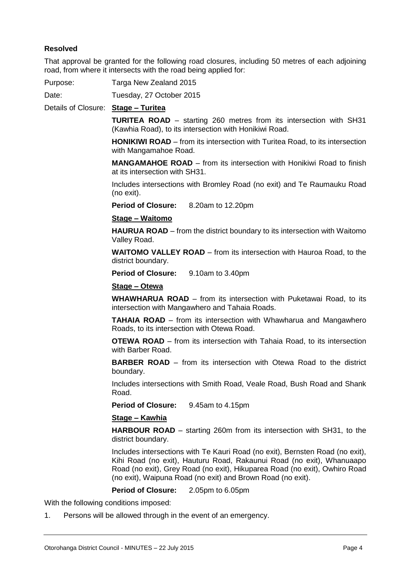#### **Resolved**

That approval be granted for the following road closures, including 50 metres of each adjoining road, from where it intersects with the road being applied for:

Purpose: Targa New Zealand 2015

Date: Tuesday, 27 October 2015

Details of Closure: **Stage – Turitea**

**TURITEA ROAD** – starting 260 metres from its intersection with SH31 (Kawhia Road), to its intersection with Honikiwi Road.

**HONIKIWI ROAD** – from its intersection with Turitea Road, to its intersection with Mangamahoe Road.

**MANGAMAHOE ROAD** – from its intersection with Honikiwi Road to finish at its intersection with SH31.

Includes intersections with Bromley Road (no exit) and Te Raumauku Road (no exit).

**Period of Closure:** 8.20am to 12.20pm

#### **Stage – Waitomo**

**HAURUA ROAD** – from the district boundary to its intersection with Waitomo Valley Road.

**WAITOMO VALLEY ROAD** – from its intersection with Hauroa Road, to the district boundary.

**Period of Closure:** 9.10am to 3.40pm

#### **Stage – Otewa**

**WHAWHARUA ROAD** – from its intersection with Puketawai Road, to its intersection with Mangawhero and Tahaia Roads.

**TAHAIA ROAD** – from its intersection with Whawharua and Mangawhero Roads, to its intersection with Otewa Road.

**OTEWA ROAD** – from its intersection with Tahaia Road, to its intersection with Barber Road.

**BARBER ROAD** – from its intersection with Otewa Road to the district boundary.

Includes intersections with Smith Road, Veale Road, Bush Road and Shank Road.

**Period of Closure:** 9.45am to 4.15pm

#### **Stage – Kawhia**

**HARBOUR ROAD** – starting 260m from its intersection with SH31, to the district boundary.

Includes intersections with Te Kauri Road (no exit), Bernsten Road (no exit), Kihi Road (no exit), Hauturu Road, Rakaunui Road (no exit), Whanuaapo Road (no exit), Grey Road (no exit), Hikuparea Road (no exit), Owhiro Road (no exit), Waipuna Road (no exit) and Brown Road (no exit).

**Period of Closure:** 2.05pm to 6.05pm

With the following conditions imposed:

1. Persons will be allowed through in the event of an emergency.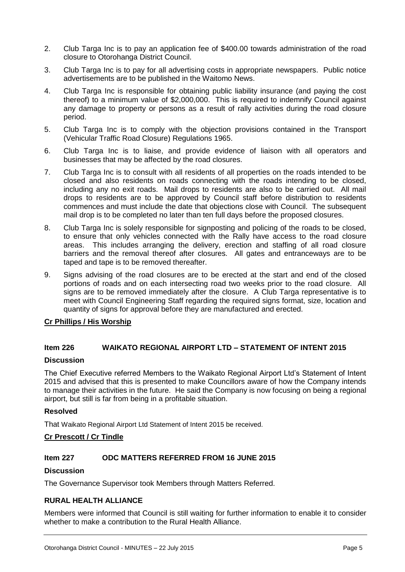- 2. Club Targa Inc is to pay an application fee of \$400.00 towards administration of the road closure to Otorohanga District Council.
- 3. Club Targa Inc is to pay for all advertising costs in appropriate newspapers. Public notice advertisements are to be published in the Waitomo News.
- 4. Club Targa Inc is responsible for obtaining public liability insurance (and paying the cost thereof) to a minimum value of \$2,000,000. This is required to indemnify Council against any damage to property or persons as a result of rally activities during the road closure period.
- 5. Club Targa Inc is to comply with the objection provisions contained in the Transport (Vehicular Traffic Road Closure) Regulations 1965.
- 6. Club Targa Inc is to liaise, and provide evidence of liaison with all operators and businesses that may be affected by the road closures.
- 7. Club Targa Inc is to consult with all residents of all properties on the roads intended to be closed and also residents on roads connecting with the roads intending to be closed, including any no exit roads. Mail drops to residents are also to be carried out. All mail drops to residents are to be approved by Council staff before distribution to residents commences and must include the date that objections close with Council. The subsequent mail drop is to be completed no later than ten full days before the proposed closures.
- 8. Club Targa Inc is solely responsible for signposting and policing of the roads to be closed, to ensure that only vehicles connected with the Rally have access to the road closure areas. This includes arranging the delivery, erection and staffing of all road closure barriers and the removal thereof after closures. All gates and entranceways are to be taped and tape is to be removed thereafter.
- 9. Signs advising of the road closures are to be erected at the start and end of the closed portions of roads and on each intersecting road two weeks prior to the road closure. All signs are to be removed immediately after the closure. A Club Targa representative is to meet with Council Engineering Staff regarding the required signs format, size, location and quantity of signs for approval before they are manufactured and erected.

#### **Cr Phillips / His Worship**

#### **Item 226 WAIKATO REGIONAL AIRPORT LTD – STATEMENT OF INTENT 2015**

#### **Discussion**

The Chief Executive referred Members to the Waikato Regional Airport Ltd's Statement of Intent 2015 and advised that this is presented to make Councillors aware of how the Company intends to manage their activities in the future. He said the Company is now focusing on being a regional airport, but still is far from being in a profitable situation.

#### **Resolved**

That Waikato Regional Airport Ltd Statement of Intent 2015 be received.

#### **Cr Prescott / Cr Tindle**

#### **Item 227 ODC MATTERS REFERRED FROM 16 JUNE 2015**

#### **Discussion**

The Governance Supervisor took Members through Matters Referred.

#### **RURAL HEALTH ALLIANCE**

Members were informed that Council is still waiting for further information to enable it to consider whether to make a contribution to the Rural Health Alliance.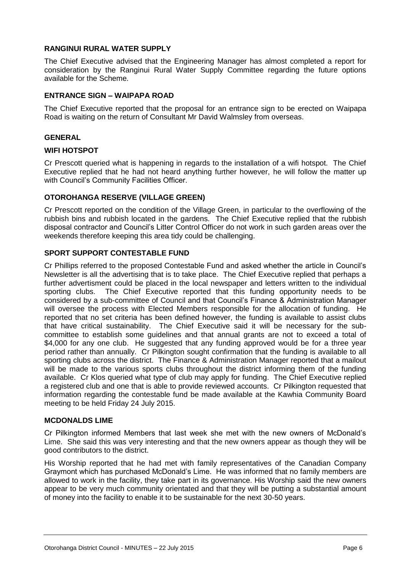#### **RANGINUI RURAL WATER SUPPLY**

The Chief Executive advised that the Engineering Manager has almost completed a report for consideration by the Ranginui Rural Water Supply Committee regarding the future options available for the Scheme.

#### **ENTRANCE SIGN – WAIPAPA ROAD**

The Chief Executive reported that the proposal for an entrance sign to be erected on Waipapa Road is waiting on the return of Consultant Mr David Walmsley from overseas.

#### **GENERAL**

#### **WIFI HOTSPOT**

Cr Prescott queried what is happening in regards to the installation of a wifi hotspot. The Chief Executive replied that he had not heard anything further however, he will follow the matter up with Council's Community Facilities Officer.

#### **OTOROHANGA RESERVE (VILLAGE GREEN)**

Cr Prescott reported on the condition of the Village Green, in particular to the overflowing of the rubbish bins and rubbish located in the gardens. The Chief Executive replied that the rubbish disposal contractor and Council's Litter Control Officer do not work in such garden areas over the weekends therefore keeping this area tidy could be challenging.

#### **SPORT SUPPORT CONTESTABLE FUND**

Cr Phillips referred to the proposed Contestable Fund and asked whether the article in Council's Newsletter is all the advertising that is to take place. The Chief Executive replied that perhaps a further advertisment could be placed in the local newspaper and letters written to the individual sporting clubs. The Chief Executive reported that this funding opportunity needs to be considered by a sub-committee of Council and that Council's Finance & Administration Manager will oversee the process with Elected Members responsible for the allocation of funding. He reported that no set criteria has been defined however, the funding is available to assist clubs that have critical sustainability. The Chief Executive said it will be necessary for the subcommittee to establish some guidelines and that annual grants are not to exceed a total of \$4,000 for any one club. He suggested that any funding approved would be for a three year period rather than annually. Cr Pilkington sought confirmation that the funding is available to all sporting clubs across the district. The Finance & Administration Manager reported that a mailout will be made to the various sports clubs throughout the district informing them of the funding available. Cr Klos queried what type of club may apply for funding. The Chief Executive replied a registered club and one that is able to provide reviewed accounts. Cr Pilkington requested that information regarding the contestable fund be made available at the Kawhia Community Board meeting to be held Friday 24 July 2015.

#### **MCDONALDS LIME**

Cr Pilkington informed Members that last week she met with the new owners of McDonald's Lime. She said this was very interesting and that the new owners appear as though they will be good contributors to the district.

His Worship reported that he had met with family representatives of the Canadian Company Graymont which has purchased McDonald's Lime. He was informed that no family members are allowed to work in the facility, they take part in its governance. His Worship said the new owners appear to be very much community orientated and that they will be putting a substantial amount of money into the facility to enable it to be sustainable for the next 30-50 years.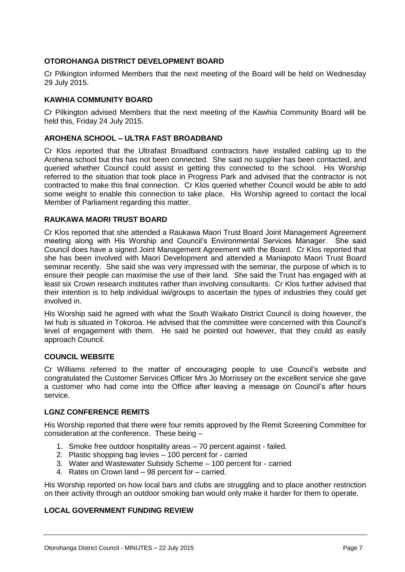#### **OTOROHANGA DISTRICT DEVELOPMENT BOARD**

Cr Pilkington informed Members that the next meeting of the Board will be held on Wednesday 29 July 2015.

#### **KAWHIA COMMUNITY BOARD**

Cr Pilkington advised Members that the next meeting of the Kawhia Community Board will be held this, Friday 24 July 2015.

#### **AROHENA SCHOOL – ULTRA FAST BROADBAND**

Cr Klos reported that the Ultrafast Broadband contractors have installed cabling up to the Arohena school but this has not been connected. She said no supplier has been contacted, and queried whether Council could assist in getting this connected to the school. His Worship referred to the situation that took place in Progress Park and advised that the contractor is not contracted to make this final connection. Cr Klos queried whether Council would be able to add some weight to enable this connection to take place. His Worship agreed to contact the local Member of Parliament regarding this matter.

#### **RAUKAWA MAORI TRUST BOARD**

Cr Klos reported that she attended a Raukawa Maori Trust Board Joint Management Agreement meeting along with His Worship and Council's Environmental Services Manager. She said Council does have a signed Joint Management Agreement with the Board. Cr Klos reported that she has been involved with Maori Development and attended a Maniapoto Maori Trust Board seminar recently. She said she was very impressed with the seminar, the purpose of which is to ensure their people can maximise the use of their land. She said the Trust has engaged with at least six Crown research institutes rather than involving consultants. Cr Klos further advised that their intention is to help individual iwi/groups to ascertain the types of industries they could get involved in.

His Worship said he agreed with what the South Waikato District Council is doing however, the Iwi hub is situated in Tokoroa. He advised that the committee were concerned with this Council's level of engagement with them. He said he pointed out however, that they could as easily approach Council.

#### **COUNCIL WEBSITE**

Cr Williams referred to the matter of encouraging people to use Council's website and congratulated the Customer Services Officer Mrs Jo Morrissey on the excellent service she gave a customer who had come into the Office after leaving a message on Council's after hours service.

#### **LGNZ CONFERENCE REMITS**

His Worship reported that there were four remits approved by the Remit Screening Committee for consideration at the conference. These being –

- 1. Smoke free outdoor hospitality areas 70 percent against failed.
- 2. Plastic shopping bag levies 100 percent for carried
- 3. Water and Wastewater Subsidy Scheme 100 percent for carried
- 4. Rates on Crown land 98 percent for carried.

His Worship reported on how local bars and clubs are struggling and to place another restriction on their activity through an outdoor smoking ban would only make it harder for them to operate.

#### **LOCAL GOVERNMENT FUNDING REVIEW**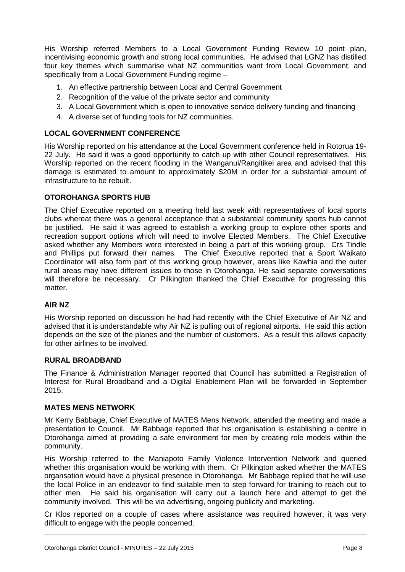His Worship referred Members to a Local Government Funding Review 10 point plan, incentivising economic growth and strong local communities. He advised that LGNZ has distilled four key themes which summarise what NZ communities want from Local Government, and specifically from a Local Government Funding regime -

- 1. An effective partnership between Local and Central Government
- 2. Recognition of the value of the private sector and community
- 3. A Local Government which is open to innovative service delivery funding and financing
- 4. A diverse set of funding tools for NZ communities.

#### **LOCAL GOVERNMENT CONFERENCE**

His Worship reported on his attendance at the Local Government conference held in Rotorua 19- 22 July. He said it was a good opportunity to catch up with other Council representatives. His Worship reported on the recent flooding in the Wanganui/Rangitikei area and advised that this damage is estimated to amount to approximately \$20M in order for a substantial amount of infrastructure to be rebuilt.

#### **OTOROHANGA SPORTS HUB**

The Chief Executive reported on a meeting held last week with representatives of local sports clubs whereat there was a general acceptance that a substantial community sports hub cannot be justified. He said it was agreed to establish a working group to explore other sports and recreation support options which will need to involve Elected Members. The Chief Executive asked whether any Members were interested in being a part of this working group. Crs Tindle and Phillips put forward their names. The Chief Executive reported that a Sport Waikato Coordinator will also form part of this working group however, areas like Kawhia and the outer rural areas may have different issues to those in Otorohanga. He said separate conversations will therefore be necessary. Cr Pilkington thanked the Chief Executive for progressing this matter.

#### **AIR NZ**

His Worship reported on discussion he had had recently with the Chief Executive of Air NZ and advised that it is understandable why Air NZ is pulling out of regional airports. He said this action depends on the size of the planes and the number of customers. As a result this allows capacity for other airlines to be involved.

#### **RURAL BROADBAND**

The Finance & Administration Manager reported that Council has submitted a Registration of Interest for Rural Broadband and a Digital Enablement Plan will be forwarded in September 2015.

#### **MATES MENS NETWORK**

Mr Kerry Babbage, Chief Executive of MATES Mens Network, attended the meeting and made a presentation to Council. Mr Babbage reported that his organisation is establishing a centre in Otorohanga aimed at providing a safe environment for men by creating role models within the community.

His Worship referred to the Maniapoto Family Violence Intervention Network and queried whether this organisation would be working with them. Cr Pilkington asked whether the MATES organsation would have a physical presence in Otorohanga. Mr Babbage replied that he will use the local Police in an endeavor to find suitable men to step forward for training to reach out to other men. He said his organisation will carry out a launch here and attempt to get the community involved. This will be via advertising, ongoing publicity and marketing.

Cr Klos reported on a couple of cases where assistance was required however, it was very difficult to engage with the people concerned.